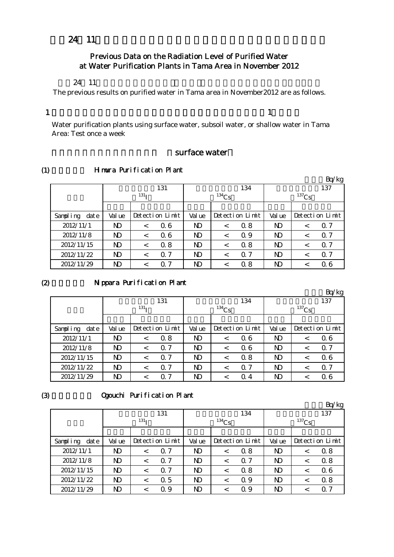# 平成24年11月の多摩地区等浄水所の水道水の放射能測定結果について

# Previous Data on the Radiation Level of Purified Water at Water Purification Plants in Tama Area in November 2012

#### $24 \quad 11$

The previous results on purified water in Tama area in November2012 are as follows.

#### 1

 $\mathbf{1}$  , which is a set of the set of the set of the set of the set of the set of the set of the set of the set of the set of the set of the set of the set of the set of the set of the set of the set of the set of the s

Water purification plants using surface water, subsoil water, or shallow water in Tama Area: Test once a week

# surface water

(1)

# Himura Purification Plant

|                   |                |                  |                 |                |          |                 |                |          | Bq/kg           |
|-------------------|----------------|------------------|-----------------|----------------|----------|-----------------|----------------|----------|-----------------|
|                   |                |                  | 131             |                |          | 134             |                |          | 137             |
|                   |                | 131 <sub>T</sub> |                 |                | $134$ Cs |                 |                | $137$ Cs |                 |
|                   |                |                  |                 |                |          |                 |                |          |                 |
| dat e<br>Sampling | Val ue         |                  | Detection Limit | Val ue         |          | Detection Limit | Val ue         |          | Detection Limit |
| 2012/11/1         | N <sub>D</sub> | $\,<\,$          | 06              |                | $\,<\,$  | 0.8             | N <sub>D</sub> | $\,<\,$  | 0.7             |
| 2012/11/8         | $\mathbf{D}$   | $\,<\,$          | 06              | ND             | $\,<\,$  | Q 9             | N <sub>D</sub> | <        | $\Omega$ 7      |
| 2012/11/15        | $\mathbf{D}$   | $\,<\,$          | 0.8             | N <sub>D</sub> | $\lt$    | 0.8             | N <sub>D</sub> | $\,<\,$  | $\Omega$ 7      |
| 2012/11/22        | $\mathbf{D}$   | $\lt$            | $\Omega$ 7      | N <sub>D</sub> | $\,<\,$  | $\Omega$ 7      | N <sub>D</sub> | $\,<\,$  | $\Omega$ 7      |
| 2012/11/29        | $\mathbf{D}$   | $\,<\,$          | 7<br>$\Omega$   | ND             | <        | 0.8             | N <sub>D</sub> |          | 06              |

#### $(2)$

#### Nippara Purification Plant

|                   |        |                  |                           |                |         |                 |                |         | Bq/kg           |  |
|-------------------|--------|------------------|---------------------------|----------------|---------|-----------------|----------------|---------|-----------------|--|
|                   |        |                  | 131                       |                |         | 134             |                |         | 137             |  |
|                   |        | 131 <sub>T</sub> |                           | $134$ Cs       |         |                 | $137$ Cs       |         |                 |  |
|                   |        |                  |                           |                |         |                 |                |         |                 |  |
| Sampling<br>dat e | Val ue |                  | Detection Limit           | Val ue         |         | Detection Limit | Val ue         |         | Detection Limit |  |
| 2012/11/1         | ND     | $\,<\,$          | 0.8                       | N <sub>D</sub> | $\,<\,$ | 06              | N <sub>D</sub> | <       | 06              |  |
| 2012/11/8         | ND     | $\,<\,$          | $\Omega$ 7                | ND             | $\lt$   | 06              | N <sub>D</sub> | <       | $\Omega$ 7      |  |
| 2012/11/15        | ND     | $\,<\,$          | $\Omega$ 7                | N <sub>D</sub> | $\lt$   | 0.8             | N <sub>D</sub> | $\,<\,$ | 06              |  |
| 2012/11/22        | ND     | $\,<\,$          | $\Omega$ 7                | N <sub>D</sub> | $\,<\,$ | $\Omega$ 7      | N <sub>D</sub> | <       | $\Omega$ 7      |  |
| 2012/11/29        | ND     | $\,<$            | $\mathcal{I}$<br>$\Omega$ | ND             | $\,<\,$ | $\Omega$ 4      | N <sub>D</sub> |         | 06              |  |

#### (3)

#### Ogouchi Purification Plant

|                   |                |                  |                 |                |         |                 |                |         | Bq/kg           |  |
|-------------------|----------------|------------------|-----------------|----------------|---------|-----------------|----------------|---------|-----------------|--|
|                   |                |                  | 131             |                |         | 134             |                |         | 137             |  |
|                   |                | 131 <sub>T</sub> |                 | $134$ Cs       |         |                 | $137$ Cs       |         |                 |  |
|                   |                |                  |                 |                |         |                 |                |         |                 |  |
| Sampling<br>dat e | Val ue         |                  | Detection Limit | Val ue         |         | Detection Limit | Val ue         |         | Detection Limit |  |
| 2012/11/1         | N)             | $\,<\,$          | $\Omega$ 7      | ND             | $\,<\,$ | 0.8             | N)             | $\,<\,$ | 0.8             |  |
| 2012/11/8         | ND             | $\,<\,$          | $\Omega$ 7      | N <sub>D</sub> | $\,<\,$ | $\Omega$ 7      | N <sub>D</sub> |         | 0.8             |  |
| 2012/11/15        | N)             | $\,<\,$          | $\Omega$ 7      | N)             | $\lt$   | 0.8             | N <sub>D</sub> | $\,<\,$ | 06              |  |
| 2012/11/22        | N <sub>D</sub> | $\,<\,$          | $\alpha$ 5      | N <sub>D</sub> | $\,<\,$ | 0.9             | N <sub>D</sub> | $\,<\,$ | 0.8             |  |
| 2012/11/29        | ND             | $\,<\,$          | 0.9             | $\mathbf{D}$   | <       | Q 9             | $\mathbf{D}$   |         | $\Omega$ 7      |  |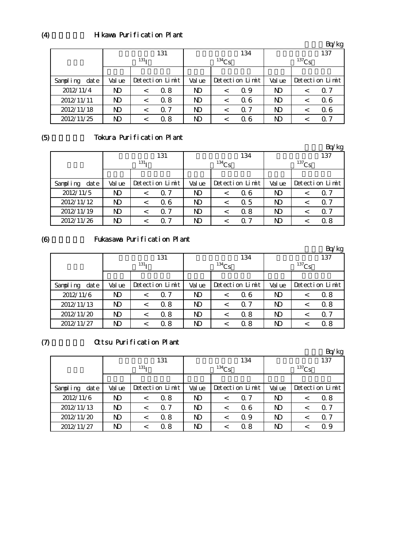# H kawa Purification Plant

|                   |        |                  |                 |                |          |                 |                |  | $\circ$         |
|-------------------|--------|------------------|-----------------|----------------|----------|-----------------|----------------|--|-----------------|
|                   |        | 131              |                 |                |          | 134             | 137            |  |                 |
|                   |        | 131 <sub>T</sub> |                 |                | $134$ Cs |                 | $137$ Cs       |  |                 |
|                   |        |                  |                 |                |          |                 |                |  |                 |
| Sampling<br>dat e | Val ue |                  | Detection Limit | Val ue         |          | Detection Limit | Val ue         |  | Detection Limit |
| 2012/11/4         | ND     |                  | Q 8             | ND.            | <        | Q 9             | ND             |  | Q 7             |
| 2012/11/11        | ND     |                  | 0.8             | N <sub>D</sub> | <        | Q 6             | N <sub>D</sub> |  | 06              |
| 2012/11/18        | ND     |                  | $\Omega$ 7      | N <sub>D</sub> | <        | $\Omega$ 7      | ND             |  | 06              |
| 2012/11/25        | ND     |                  | 0.8             | ND             |          | Q 6             | ND             |  | Q 7             |

(5)

(4)

# Tokura Purification Plant

|                  |                |                  |                 |                |            |                 |                |          | Bq/kg           |  |
|------------------|----------------|------------------|-----------------|----------------|------------|-----------------|----------------|----------|-----------------|--|
|                  |                |                  | 131             |                |            | 134             |                | 137      |                 |  |
|                  |                | 131 <sub>T</sub> |                 |                | $^{134}Cs$ |                 |                | $137$ Cs |                 |  |
|                  |                |                  |                 |                |            |                 |                |          |                 |  |
| Sampling<br>date | Val ue         |                  | Detection Limit | Val ue         |            | Detection Limit | Val ue         |          | Detection Limit |  |
| 2012/11/5        | ND             |                  | 0.7             | ND             | $\,<\,$    | 06              | ND             |          | Q 7             |  |
| 2012/11/12       | N <sub>D</sub> |                  | 06              | N <sub>D</sub> | $\,<\,$    | 0.5             | N <sub>D</sub> |          | $\Omega$ 7      |  |
| 2012/11/19       | ND             | $\,<\,$          | $\alpha$ 7      | N <sub>D</sub> | $\,<\,$    | 0.8             | N <sub>D</sub> |          | $\alpha$ 7      |  |
| 2012/11/26       | ND             |                  | -7<br>Ω         | ND             |            | $\Omega$ 7      | ND             |          | 0.8             |  |

(6)

# Fukasawa Purification Plant

|                  |              |                  |                 |                |          |                 |                |          | Bq/kg           |  |
|------------------|--------------|------------------|-----------------|----------------|----------|-----------------|----------------|----------|-----------------|--|
|                  |              |                  | 131             |                |          | 134             |                |          | 137             |  |
|                  |              | 131 <sub>T</sub> |                 |                | $134$ Cs |                 |                | $137$ Cs |                 |  |
|                  |              |                  |                 |                |          |                 |                |          |                 |  |
| Sampling<br>date | Val ue       |                  | Detection Limit | Val ue         |          | Detection Limit | Val ue         |          | Detection Limit |  |
| 2012/11/6        | ND           |                  | 0.7             | ND             | $\,<\,$  | Q 6             | N <sub>D</sub> |          | 0.8             |  |
| 2012/11/13       | $\mathbf{D}$ |                  | 0.8             | N <sub>D</sub> | $\,<\,$  | $\Omega$ 7      | N <sub>D</sub> |          | 0.8             |  |
| 2012/11/20       | ND           |                  | 0.8             | N <sub>D</sub> | $\,<\,$  | 0.8             | N <sub>D</sub> |          | $\alpha$ 7      |  |
| 2012/11/27       | ND           |                  | 0.8             | ND             |          | 0. 8            | N <sub>D</sub> |          | 0.8             |  |

 $(7)$ 

# Ottsu Purification Plant

|                   |                |                  |                 |                |          |                 |                |          | Bq/kg           |
|-------------------|----------------|------------------|-----------------|----------------|----------|-----------------|----------------|----------|-----------------|
|                   |                |                  | 131             |                |          | 134             |                |          | 137             |
|                   |                | 131 <sub>T</sub> |                 |                | $134$ Cs |                 |                | $137$ Cs |                 |
|                   |                |                  |                 |                |          |                 |                |          |                 |
| Sampling<br>dat e | Val ue         |                  | Detection Limit | Val ue         |          | Detection Limit | Val ue         |          | Detection Limit |
| 2012/11/6         | N)             | $\,<\,$          | 0.8             | N <sub>D</sub> | $\,<\,$  | $\Omega$ 7      | N <sub>D</sub> | ≺        | 0.8             |
| 2012/11/13        | N <sub>D</sub> | $\,<\,$          | $\Omega$ 7      | $\mathbf{D}$   | $\,<\,$  | Q 6             | N <sub>D</sub> |          | $\Omega$ 7      |
| 2012/11/20        | ND             | $\,<$            | 0.8             | ND             | $\,<\,$  | Q 9             | ND             |          | $\Omega$ 7      |
| 2012/11/27        | ND             | $\,<$            | 0.8             | ND             |          | 0.8             | ND             |          | Q 9             |

 $Bq/kg$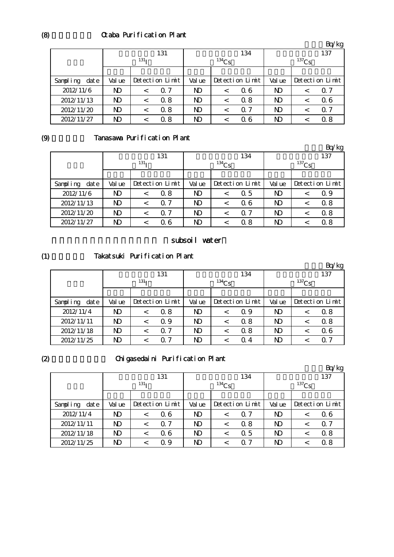# Ctaba Purification Plant

|                   |        |                  |                 |                |          |                 |                |          | Bq/kg           |  |
|-------------------|--------|------------------|-----------------|----------------|----------|-----------------|----------------|----------|-----------------|--|
|                   |        |                  | 131             |                |          | 134             |                |          | 137             |  |
|                   |        | 131 <sub>T</sub> |                 |                | $134$ Cs |                 |                | $137$ Cs |                 |  |
|                   |        |                  |                 |                |          |                 |                |          |                 |  |
| Sampling<br>dat e | Val ue |                  | Detection Limit |                |          | Detection Limit | Val ue         |          | Detection Limit |  |
| 2012/11/6         | ND     | $\,<\,$          | Q 7             | N <sub>D</sub> | $\,<\,$  | 06              | N)             |          | Q 7             |  |
| 2012/11/13        | ND     | $\,<\,$          | 0.8             | N <sub>D</sub> | $\,<\,$  | 0.8             | N <sub>D</sub> | <        | 06              |  |
| 2012/11/20        | ND     | <                | 0.8             | N <sub>D</sub> | $\,<\,$  | 0.7             | N <sub>D</sub> |          | Q 7             |  |
| 2012/11/27        | ND     |                  | 0.8             | ND             | ✓        | Q 6             | ND             |          | 0.8             |  |

# (9)

# Tanasawa Purification Plant

|                   |              |                  |            |                |          |                 |                |          | Bq/kg           |
|-------------------|--------------|------------------|------------|----------------|----------|-----------------|----------------|----------|-----------------|
|                   |              |                  | 131        |                |          | 134             |                |          | 137             |
|                   |              | 131 <sub>T</sub> |            |                | $134$ Cs |                 |                | $137$ Cs |                 |
|                   |              |                  |            |                |          |                 |                |          |                 |
| Sampling<br>dat e | Val ue       | Detection Limit  |            | Val ue         |          | Detection Limit | Val ue         |          | Detection Limit |
| 2012/11/6         | ND           | $\,<\,$          | 0.8        | N <sub>D</sub> | $\,<\,$  | Q 5             | N <sub>D</sub> |          | 0.9             |
| 2012/11/13        | $\mathbf{N}$ | $\,<\,$          | $\Omega$ 7 | N <sub>D</sub> | $\,<\,$  | Q 6             | N <sub>D</sub> |          | 0.8             |
| 2012/11/20        | ND           |                  | $\Omega$ 7 | N <sub>D</sub> | <        | 0. 7            | N <sub>D</sub> |          | 0.8             |
| 2012/11/27        | ND           |                  | 06         | N <sub>D</sub> |          | 0.8             | ND             |          | 0.8             |

#### subsoil water

#### (1) Takatsuki Purification Plant

|                   |        |                  |                 |                |                 |     |        |          | Bq/kg           |  |
|-------------------|--------|------------------|-----------------|----------------|-----------------|-----|--------|----------|-----------------|--|
|                   |        |                  | 131             |                |                 | 134 | 137    |          |                 |  |
|                   |        | 131 <sub>T</sub> |                 |                | $134$ Cs        |     |        | $137$ Cs |                 |  |
|                   |        |                  |                 |                |                 |     |        |          |                 |  |
| Sampling<br>dat e | Val ue |                  | Detection Limit |                | Detection Limit |     | Val ue |          | Detection Limit |  |
| 2012/11/4         | ND     | $\,<\,$          | Q 8             | ND             | $\,<\,$         | Q 9 | ND     | ≺        | Q 8             |  |
| 2012/11/11        | ND     |                  | Q 9             | ND             | $\,<\,$         | 0.8 | N)     |          | 0.8             |  |
| 2012/11/18        | ND     | $\,<\,$          | $\Omega$ 7      | N <sub>D</sub> | <               | 0.8 | ND     |          | 06              |  |
| 2012/11/25        | ND     |                  | -7<br>Ω         | ND             |                 | Q 4 | ND     |          | ი 7             |  |

# (2)

# Chigasedaini Purification Plant

|                   | -            |                  |                 |                |            |                 |                |          | Bq/kg           |  |
|-------------------|--------------|------------------|-----------------|----------------|------------|-----------------|----------------|----------|-----------------|--|
|                   |              |                  | 131             |                |            | 134             |                |          | 137             |  |
|                   |              | 131 <sub>T</sub> |                 |                | $^{134}Cs$ |                 |                | $137$ Cs |                 |  |
|                   |              |                  |                 |                |            |                 |                |          |                 |  |
| Sampling<br>dat e | Val ue       |                  | Detection Limit | Val ue         |            | Detection Limit | Val ue         |          | Detection Limit |  |
| 2012/11/4         | ND           | $\,<\,$          | 06              | N)             | $\,<\,$    | $\Omega$ 7      | $\mathbf{D}$   | ≺        | 06              |  |
| 2012/11/11        | ND           | $\,<\,$          | $\Omega$ 7      | N <sub>D</sub> | $\lt$      | 0.8             | $\mathbf{D}$   |          | Q <sub>0</sub>  |  |
| 2012/11/18        | $\mathbf{D}$ | $\,<\,$          | 06              | N <sub>D</sub> | $\,<\,$    | 0.5             | N <sub>D</sub> | ≺        | 0.8             |  |
| 2012/11/25        | ND           |                  | 0.9             | N <sub>D</sub> | ≺          | 0.7             | $\mathbf{D}$   |          | 0.8             |  |

(8)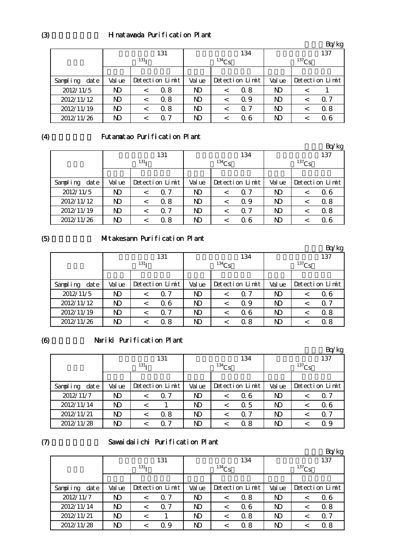# Hinatawada Purification Plant

|                   |        |                  |                 |                |          |                 |                |          | Bq/kg           |  |
|-------------------|--------|------------------|-----------------|----------------|----------|-----------------|----------------|----------|-----------------|--|
|                   |        |                  | 131             |                |          | 134             |                |          | 137             |  |
|                   |        | 131 <sub>T</sub> |                 |                | $134$ Cs |                 |                | $137$ Cs |                 |  |
|                   |        |                  |                 |                |          |                 |                |          |                 |  |
| Sampling<br>dat e | Val ue |                  | Detection Limit |                |          | Detection Limit | Val ue         |          | Detection Limit |  |
| 2012/11/5         | ND     | $\,<\,$          | 0.8             | ND.            | $\,<\,$  | 0.8             | N <sub>D</sub> | ≺        |                 |  |
| 2012/11/12        | ND     | $\,<\,$          | 0.8             | N <sub>D</sub> | $\,<\,$  | Q 9             | N <sub>D</sub> |          | Q 7             |  |
| 2012/11/19        | ND     |                  | 0.8             |                | <        | $\Omega$ 7      | N <sub>D</sub> |          | 0.8             |  |
| 2012/11/26        | ND     |                  | $\Omega$ 7      | ND             | <        | Q 6             | ND             |          | Q 6             |  |

# (4)

# Futamatao Purification Plant

|                  |                  |         |                 |                |         |                 |              |  | Bq/kg           |
|------------------|------------------|---------|-----------------|----------------|---------|-----------------|--------------|--|-----------------|
|                  | 131              |         |                 |                |         | 134             | 137          |  |                 |
|                  | 131 <sub>T</sub> |         |                 | $134$ Cs       |         |                 | $137$ Cs     |  |                 |
|                  |                  |         |                 |                |         |                 |              |  |                 |
| Sampling<br>date | Val ue           |         | Detection Limit | Val ue         |         | Detection Limit | Val ue       |  | Detection Limit |
| 2012/11/5        | ND               |         | Q 7             | ND             | $\,<\,$ | Q 7             | ND           |  | 06              |
| 2012/11/12       | ND               | $\,<\,$ | 0.8             | N <sub>D</sub> | <       | Q 9             | ND           |  | 0.8             |
| 2012/11/19       | ND               |         | $\Omega$ 7      | N <sub>D</sub> | <       | 0.7             | $\mathbf{D}$ |  | 0.8             |
| 2012/11/26       | ND               |         | Q 8             | ND             |         | Q 6             | ND           |  | 06              |

# (5)

#### Mitakesann Purification Plant

|                   |                  |  |                 |                |         |                 |          |  | Bq/kg           |
|-------------------|------------------|--|-----------------|----------------|---------|-----------------|----------|--|-----------------|
|                   |                  |  | 131             |                |         | 134             |          |  | 137             |
|                   | 131 <sub>T</sub> |  |                 | $134$ Cs       |         |                 | $137$ Cs |  |                 |
|                   |                  |  |                 |                |         |                 |          |  |                 |
| Sampling<br>dat e | Val ue           |  | Detection Limit | Val ue         |         | Detection Limit | Val ue   |  | Detection Limit |
| 2012/11/5         | ND               |  | 0.7             | ND             | $\,<\,$ | $\Omega$ 7      | ND       |  | Q 6             |
| 2012/11/12        | ND               |  | Q 6             | ND             | $\,<\,$ | Q 9             | ND       |  | Q 7             |
| 2012/11/19        | ND               |  | 0.7             | N <sub>D</sub> | $\,<\,$ | 06              | ND       |  | 0.8             |
| 2012/11/26        | ND               |  | Q 8             | ND             |         | 0. 8            | ND       |  | 0.8             |

#### (6)

#### Nariki Purification Plant

|                   |                  |  |                 |                |         |                 |                |  | Bq/kg           |
|-------------------|------------------|--|-----------------|----------------|---------|-----------------|----------------|--|-----------------|
|                   |                  |  | 131             |                |         | 134             |                |  | 137             |
|                   | 131 <sub>T</sub> |  |                 | $134$ Cs       |         |                 | $137$ Cs       |  |                 |
|                   |                  |  |                 |                |         |                 |                |  |                 |
| Sampling<br>dat e | Val ue           |  | Detection Limit | Val ue         |         | Detection Limit | Val ue         |  | Detection Limit |
| 2012/11/7         | ND               |  | $\Omega$ 7      | ND             | $\,<\,$ | Q 6             | ND             |  | 0.7             |
| 2012/11/14        | ND               |  |                 | N <sub>D</sub> | <       | 0.5             | N <sub>D</sub> |  | 06              |
| 2012/11/21        | ND               |  | 0.8             | N <sub>D</sub> | $\,<\,$ | $\Omega$ 7      | N <sub>D</sub> |  | $\alpha$ 7      |
| 2012/11/28        | ND               |  | 7               | ND             |         | 0. 8            | ND             |  | Q 9             |

# $(7)$

# Sawaidaiichi Purification Plant

|                  |                  |  |                 |                |         |                 |                |  | Bq/kg           |
|------------------|------------------|--|-----------------|----------------|---------|-----------------|----------------|--|-----------------|
|                  |                  |  | 131             |                |         | 134             |                |  | 137             |
|                  | 131 <sub>T</sub> |  |                 | $^{134}$ Cs    |         |                 | $137$ Cs       |  |                 |
|                  |                  |  |                 |                |         |                 |                |  |                 |
| Sampling<br>date | Val ue           |  | Detection Limit | Val ue         |         | Detection Limit | Val ue         |  | Detection Limit |
| 2012/11/7        | ND               |  | $\Omega$ 7      | ND             | <       | 0.8             | ND             |  | 06              |
| 2012/11/14       | ND               |  | 07              | N <sub>D</sub> | <       | 06              | $\mathbf{D}$   |  | 0.8             |
| 2012/11/21       | ND               |  |                 | N <sub>D</sub> | $\,<\,$ | 0.8             | N <sub>D</sub> |  | $\alpha$ 7      |
| 2012/11/28       | ND               |  | Q 9             | ND             | <       | 0.8             | ND             |  | 0.8             |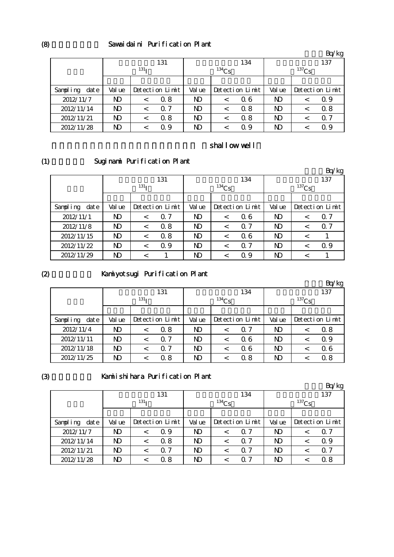#### Sawaidaini Purification Plant

|                   |                  |         |                 |                |         |                 |                |         | Bq/kg           |
|-------------------|------------------|---------|-----------------|----------------|---------|-----------------|----------------|---------|-----------------|
|                   |                  |         | 131             |                |         | 134             |                |         | 137             |
|                   | 131 <sub>T</sub> |         |                 | $134$ Cs       |         |                 | $137$ Cs       |         |                 |
|                   |                  |         |                 |                |         |                 |                |         |                 |
| dat e<br>Sampling | Val ue           |         | Detection Limit | Val ue         |         | Detection Limit | Val ue         |         | Detection Limit |
| 2012/11/7         | ND               | $\,<\,$ | 0.8             | ND             | $\,<\,$ | Q 6             | ND             | $\,<\,$ | 0.9             |
| 2012/11/14        | $\mathbf{D}$     | $\,<\,$ | $\Omega$ 7      | ND             | $\,<\,$ | 0.8             | ND             |         | 0.8             |
| 2012/11/21        | ND               |         | 0.8             | N <sub>D</sub> | <       | 0.8             | N <sub>D</sub> |         | 0.7             |
| 2012/11/28        | ND               |         | Q 9             | ND             | <       | 0.9             | ND             |         | 0.9             |

# shallow well

(1)

# Suginami Purification Plant

|                  |                  |         |                 |                |            |                 |                |          | Bq/kg           |
|------------------|------------------|---------|-----------------|----------------|------------|-----------------|----------------|----------|-----------------|
|                  |                  |         | 131             |                |            | 134             |                |          | 137             |
|                  | 131 <sub>T</sub> |         |                 |                | $^{134}Cs$ |                 |                | $137$ Cs |                 |
|                  |                  |         |                 |                |            |                 |                |          |                 |
| Sampling<br>date | Val ue           |         | Detection Limit | Val ue         |            | Detection Limit | Val ue         |          | Detection Limit |
| 2012/11/1        | ND               | $\,<\,$ | 0.7             | N)             | $\,<\,$    | 06              | ND             | <        | $\Omega$ 7      |
| 2012/11/8        | ND               | $\,<\,$ | 0.8             | N <sub>D</sub> | $\prec$    | $\Omega$ 7      | N <sub>D</sub> | <        | $\Omega$ 7      |
| 2012/11/15       | ND               | $\lt$   | 0.8             | N <sub>D</sub> | $\,<\,$    | Q 6             | N <sub>D</sub> | $\,<\,$  |                 |
| 2012/11/22       | $\mathbf{D}$     | $\lt$   | 0.9             | N <sub>D</sub> | $\,<\,$    | $\Omega$ 7      | N <sub>D</sub> | <        | 0.9             |
| 2012/11/29       | ND               |         |                 | N <sub>D</sub> | ✓          | 0.9             | ND             |          |                 |

# $(2)$

# Kamiyotsugi Purification Plant

|                   |                  |         |                 |                |         |                 |                |  | Bq/kg           |
|-------------------|------------------|---------|-----------------|----------------|---------|-----------------|----------------|--|-----------------|
|                   |                  |         | 131             |                |         | 134             | 137            |  |                 |
|                   | 131 <sub>T</sub> |         |                 | $^{134}Cs$     |         |                 | $^{137}Cs$     |  |                 |
|                   |                  |         |                 |                |         |                 |                |  |                 |
| Sampling<br>dat e | Val ue           |         | Detection Limit | Val ue         |         | Detection Limit | Val ue         |  | Detection Limit |
| 2012/11/4         | ND               | $\,<\,$ | Q 8             | N <sub>D</sub> | $\,<\,$ | $\Omega$ 7      | N <sub>D</sub> |  | 0.8             |
| 2012/11/11        | ND               |         | $\Omega$ 7      | N <sub>D</sub> | $\,<\,$ | Q 6             | N <sub>D</sub> |  | 0.9             |
| 2012/11/18        | ND               |         | 0.7             | N <sub>D</sub> | <       | 06              | $\mathbf{D}$   |  | 06              |
| 2012/11/25        | ND               |         | 0.8             | ND             |         | 0.8             | ND             |  | 0.8             |

(3)

# Kamiishihara Purification Plant

|                  |                  |         |                 |            |         |                 |                |          | Bq/kg           |
|------------------|------------------|---------|-----------------|------------|---------|-----------------|----------------|----------|-----------------|
|                  |                  |         | 131             |            |         | 134             |                |          | 137             |
|                  | 131 <sub>T</sub> |         |                 | $^{134}Cs$ |         |                 |                | $137$ Cs |                 |
|                  |                  |         |                 |            |         |                 |                |          |                 |
| Sampling<br>date | Val ue           |         | Detection Limit | Val ue     |         | Detection Limit | Val ue         |          | Detection Limit |
| 2012/11/7        | N)               | $\,<\,$ | Q 9             | ND         | $\,<\,$ | $\Omega$ 7      | N <sub>D</sub> |          | Q 7             |
| 2012/11/14       | ND               | $\,<$   | 0.8             | ND         | $\,<\,$ | $\Omega$ 7      | N <sub>D</sub> |          | 0.9             |
| 2012/11/21       | ND               | <       | $\Omega$ 7      | ND         | <       | $\Omega$ 7      | N <sub>D</sub> |          | $\Omega$ 7      |
| 2012/11/28       | ND               | <       | 0.8             | ND         |         | $\Omega$ 7      | $\mathbf{D}$   |          | 0.8             |

(8)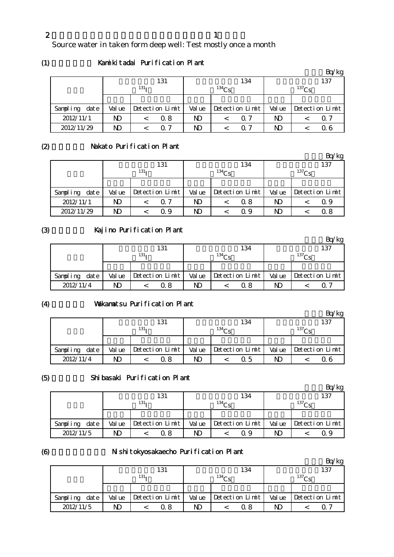Source water in taken form deep well: Test mostly once a month

(1)

# Kamikitadai Purification Plant

|                   |        |                  |                 |        |          |                 |        |             | Bq/kg           |
|-------------------|--------|------------------|-----------------|--------|----------|-----------------|--------|-------------|-----------------|
|                   |        |                  | 131             |        |          | 134             |        |             | 137             |
|                   |        | 131 <sub>T</sub> |                 |        | $134$ Cs |                 |        | $^{137}$ Cs |                 |
|                   |        |                  |                 |        |          |                 |        |             |                 |
| dat e<br>Sampling | Val ue |                  | Detection Limit | Val ue |          | Detection Limit | Val ue |             | Detection Limit |
| 2012/11/1         | ND     |                  | Q 8             | ND     |          | Q 7             | ND     |             | Q 7             |
| 2012/11/29        | ND     |                  | 7               | ND     |          | ი 7             | ND     |             | 0 6             |

#### (2)

# Nakato Purification Plant

|                   |                  |  |                 |        |            |                 |        |             | Bq/kg           |  |
|-------------------|------------------|--|-----------------|--------|------------|-----------------|--------|-------------|-----------------|--|
|                   | 131              |  |                 |        |            | 134             | 137    |             |                 |  |
|                   | 131 <sub>T</sub> |  |                 |        | $^{134}Cs$ |                 |        | $^{137}$ Cs |                 |  |
|                   |                  |  |                 |        |            |                 |        |             |                 |  |
| Sampling<br>dat e | Val ue           |  | Detection Limit | Val ue |            | Detection Limit | Val ue |             | Detection Limit |  |
| 2012/11/1         | ND               |  | Q 7             | ND     |            | 0.8             | ND     |             | Q 9             |  |
| 2012/11/29        | ND               |  | Q 9             | ND.    |            | Q 9             | ND     |             | 0.8             |  |

# (3)

# Kajino Purification Plant

|               |        |                      |        |                   |             | Bq/kg           |  |
|---------------|--------|----------------------|--------|-------------------|-------------|-----------------|--|
|               |        | 131                  |        | 134               |             | 137             |  |
|               |        | 131 <sub>T</sub>     |        | 134C <sub>c</sub> | $^{137}$ Cs |                 |  |
|               |        |                      |        |                   |             |                 |  |
| Sampling date | Val ue | $Detecti$ on $Limit$ | Val ue | Detection Limit   | Val ue      | Detection Limit |  |
| 2012/11/4     | ND     | Q 8                  | ND     | 0. 8              | ND          | O 7             |  |

# (4)

#### Vakamatsu Purification Plant

|               |        |                  |        |                 |                   | Bq/kg           |  |
|---------------|--------|------------------|--------|-----------------|-------------------|-----------------|--|
|               |        | 131              |        | 134             |                   | 137             |  |
|               |        | 131 <sub>T</sub> |        | $134C_S$        | 137C <sub>c</sub> |                 |  |
|               |        |                  |        |                 |                   |                 |  |
| Sampling date | Val ue | Detection Limit  | Val ue | Detection Limit | Val ue            | Detection Limit |  |
| 2012/11/4     | ND     | 0. 8             | ND     | Ω5              | ND                | 06              |  |

#### (5)

#### Shibasaki Purification Plant

|                   |        |                  |        |                 |        | 'kg             |
|-------------------|--------|------------------|--------|-----------------|--------|-----------------|
|                   |        | 131              |        | 134             |        | 137             |
|                   |        | 131 <sub>T</sub> |        | $^{134}$ Cs     |        | $^{137}Cs$      |
|                   |        |                  |        |                 |        |                 |
| dat e<br>Sampling | Val ue | Detection Limit  | Val ue | Detection Limit | Val ue | Detection Limit |
| 2012/11/5         | ND     | 0 8              | ND     | ი 9             | ND     | 09              |

#### (6)

#### N shitokyosakaecho Purification Plant

|                  |        |                  |        |                 |        | 'kg               |
|------------------|--------|------------------|--------|-----------------|--------|-------------------|
|                  |        | 131              |        | 134             |        | 137               |
|                  |        | 131 <sub>T</sub> |        | $^{134}$ Ce     |        | 137C <sub>S</sub> |
|                  |        |                  |        |                 |        |                   |
| Sampling<br>date | Val ue | Detection Limit  | Val ue | Detection Limit | Val ue | Detection Limit   |
| 2012/11/5        | ND     | 0. 8             | ND     | ი  გ            | ND     | O 7               |

2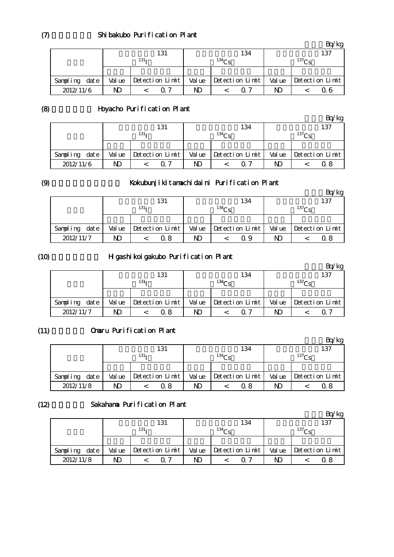|               |                  | 131             |                   | 134             |                   | 137                   |
|---------------|------------------|-----------------|-------------------|-----------------|-------------------|-----------------------|
|               | 131 <sub>T</sub> |                 | 134C <sub>c</sub> |                 | 137C <sub>c</sub> |                       |
|               |                  |                 |                   |                 |                   |                       |
| Sampling date | Val ue           | Detection Limit | Val ue            | Detection Limit |                   | Value Detection Limit |
| 2012/11/6     | N)               | ብ 7             | ND                | ∩ 7             | ND                | 0 6                   |

 $Bq/kg$ 

(8)

# Hoyacho Purification Plant

|               |        | 131                  |        | 134             |        | 137               |
|---------------|--------|----------------------|--------|-----------------|--------|-------------------|
|               |        | 131 <sub>T</sub>     |        | $^{134}$ Ce     |        | 137C <sub>c</sub> |
|               |        |                      |        |                 |        |                   |
| Sampling date | Val ue | $Detecti$ on $Limit$ | Val ue | Detection Limit | Val ue | Detection Limit   |
| 2012/11/6     | ND     | 7                    | ND     | റ 7             | ND     |                   |

#### (9)

# Kokubunjikitamachidaini Purification Plant

|               |        | . .              |        |                 |        | Bq/kg             |
|---------------|--------|------------------|--------|-----------------|--------|-------------------|
|               |        | 131              |        | 134             |        | 137               |
|               |        | 131 <sub>T</sub> |        | $^{134}Cs$      |        | 137C <sub>c</sub> |
|               |        |                  |        |                 |        |                   |
| Sampling date | Val ue | Detection Limit  | Val ue | Detection Limit | Val ue | Detection Limit   |
| 2012/11/7     | ND     | Q 8              | ND     | Ω9              | ND     | 0 8               |

#### (10)

# H gashikoigakubo Purification Plant

|               |        |                  | 131             |        |                   | 134             |        |                   | 137             |
|---------------|--------|------------------|-----------------|--------|-------------------|-----------------|--------|-------------------|-----------------|
|               |        | 131 <sub>T</sub> |                 |        | 134C <sub>c</sub> |                 |        | 137C <sub>c</sub> |                 |
|               |        |                  |                 |        |                   |                 |        |                   |                 |
| Sampling date | Val ue |                  | Detection Limit | Val ue |                   | Detection Limit | Val ue |                   | Detection Limit |
| 2012/11/7     | ND     |                  | Q 8             | ND     |                   | ∩ 7             | ND     |                   |                 |

#### (11) Omaru Purification Plant

|                   |        |                  |        |                 |        | kg                |
|-------------------|--------|------------------|--------|-----------------|--------|-------------------|
|                   |        | 131              |        | 134             |        | 137               |
|                   |        | 131 <sub>T</sub> |        | $^{134}$ Ce     |        | 137C <sub>c</sub> |
|                   |        |                  |        |                 |        |                   |
| dat e<br>Sampling | Val ue | Detection Limit  | Val ue | Detection Limit | Val ue | Detection Limit   |
| 2012/11/8         | ND     | 0. 8             | ND     | 0.8             | ND     |                   |

# $(12)$

# Sakahama Purification Plant

|                  |        |                  |        |                   |        | Bq/kg             |
|------------------|--------|------------------|--------|-------------------|--------|-------------------|
|                  |        | 131              |        | 134               |        | 137               |
|                  |        | 131 <sub>T</sub> |        | 134C <sub>c</sub> |        | 137C <sub>c</sub> |
|                  |        |                  |        |                   |        |                   |
| date<br>Sampling | Val ue | Detection Limit  | Val ue | Detection Limit   | Val ue | Detection Limit   |
| 2012/11/8        | ND     |                  | ND     | $\Omega$ 7        | ND     | Ω8                |

 $(7)$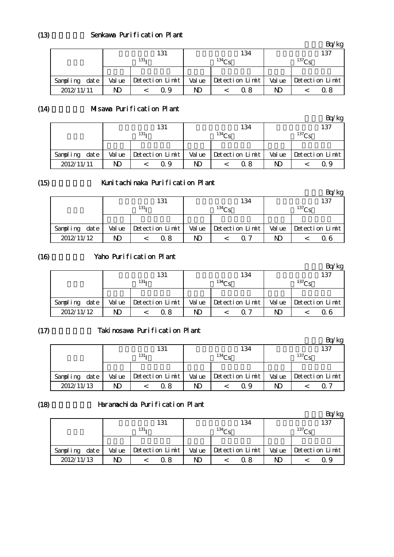|               |        | 131              |        | 134               |    | 137                            |
|---------------|--------|------------------|--------|-------------------|----|--------------------------------|
|               |        | 131 <sub>T</sub> |        | 134C <sub>c</sub> |    | 137C <sub>c</sub>              |
|               |        |                  |        |                   |    |                                |
| Sampling date | Val ue | Detection Limit  | Val ue | Detection Limit   |    | Value $\Delta$ Detection Limit |
| 2012/11/11    | ND     | Ω9               | ND     | 0 8               | ND | 0 8                            |

#### $(14)$ Misawa Purification Plant

|               |        |                  |        |                   |        | kg                |
|---------------|--------|------------------|--------|-------------------|--------|-------------------|
|               |        | 131              |        | 134               |        | 137               |
|               |        | 131 <sub>T</sub> |        | 134C <sub>c</sub> |        | 137C <sub>c</sub> |
|               |        |                  |        |                   |        |                   |
| Sampling date | Val ue | Detection Limit  | Val ue | Detection Limit   | Val ue | Detection Limit   |
| 2012/11/11    | ND     | 19               | ND     | 0 8               | ND     | ( ) 9             |

#### (15)

#### Kunitachinaka Purification Plant

|               |        |                  |        |                   |       | 'kg               |
|---------------|--------|------------------|--------|-------------------|-------|-------------------|
|               |        | 131              |        | 134               |       | 137               |
|               |        | 131 <sub>T</sub> |        | 134C <sub>c</sub> |       | 137C <sub>c</sub> |
|               |        |                  |        |                   |       |                   |
| Sampling date | Val ue | Detection Limit  | Val ue | Detection Limit   | Value | Detection Limit   |
| 2012/11/12    | ND     | Q 8              | ND     | በ 7               | ND    | Q 6               |

#### (16)

#### Yaho Purification Plant

|                  |        | 131              |        | 134               |       | 137               |
|------------------|--------|------------------|--------|-------------------|-------|-------------------|
|                  |        | 131 <sub>T</sub> |        | 134C <sub>c</sub> |       | 137C <sub>c</sub> |
|                  |        |                  |        |                   |       |                   |
| date<br>Sampling | Val ue | Detection Limit  | Val ue | Detection Limit   | Value | Detection Limit   |
| 2012/11/12       | ND     | 0 8              | ND     | ∩ 7               | ND    |                   |

# $(17)$

#### Takinosawa Purification Plant

|               |        |                  |        |                   |                   | 'kg             |  |
|---------------|--------|------------------|--------|-------------------|-------------------|-----------------|--|
|               |        | 131              |        | 134               | 137               |                 |  |
|               |        | 131 <sub>T</sub> |        | 134C <sub>c</sub> | 137C <sub>c</sub> |                 |  |
|               |        |                  |        |                   |                   |                 |  |
| Sampling date | Val ue | Detection Limit  | Val ue | Detection Limit   | Value             | Detection Limit |  |
| 2012/11/13    | ND     | 0 8              | ND     | ი 9               | ND                | $\Omega$ .      |  |

# (18)

#### 原町田浄水所 Haramachida Purification Plant

|                  |        |                  |        |                   |                   | 'kg             |  |
|------------------|--------|------------------|--------|-------------------|-------------------|-----------------|--|
|                  |        | 131              |        | 134               | 137               |                 |  |
|                  |        | 131 <sub>T</sub> |        | 134C <sub>c</sub> | 137C <sub>c</sub> |                 |  |
|                  |        |                  |        |                   |                   |                 |  |
| date<br>Sampling | Val ue | Detection Limit  | Val ue | Detection Limit   | Val ue            | Detection Limit |  |
| 2012/11/13       |        | 0 8              | ND     | 0 8               | ND                | 09              |  |

(13)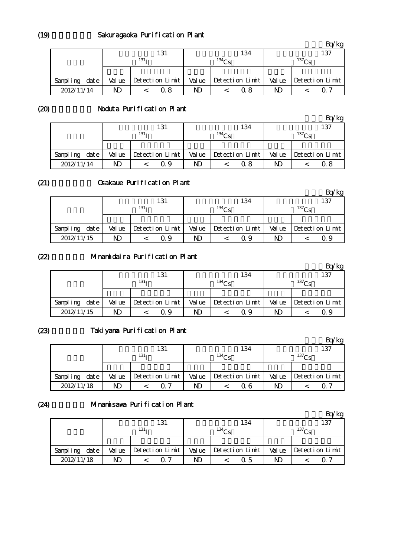# Sakuragaoka Purification Plant

|               |        |                  |        |                 |            | Bq/kg           |  |
|---------------|--------|------------------|--------|-----------------|------------|-----------------|--|
|               |        | 131              |        | 134             | 137        |                 |  |
|               |        | 131 <sub>T</sub> |        | $^{134}$ Cs     | $^{137}Cs$ |                 |  |
|               |        |                  |        |                 |            |                 |  |
| Sampling date | Val ue | Detection Limit  | Val ue | Detection Limit | Value      | Detection Limit |  |
| 2012/11/14    | ND     | Q 8              | ND     | 0.8             | ND         | ი 7             |  |

(20)

# Noduta Purification Plant

|               |        |                  |        |                 |                   | 'kg             |  |
|---------------|--------|------------------|--------|-----------------|-------------------|-----------------|--|
|               |        | 131              |        | 134             | 137               |                 |  |
|               |        | 131 <sub>T</sub> |        | $134C_S$        | 137C <sub>c</sub> |                 |  |
|               |        |                  |        |                 |                   |                 |  |
| Sampling date | Val ue | Detection Limit  | Val ue | Detection Limit | Val ue            | Detection Limit |  |
| 2012/11/14    | ND     | Q 9              | ND     | 0. 8            | ND                | 0 8             |  |

#### (21)

#### Osakaue Purification Plant

|               |        |                  |        |                   |                   | 'kg             |  |
|---------------|--------|------------------|--------|-------------------|-------------------|-----------------|--|
|               |        | 131              |        | 134               | 137               |                 |  |
|               |        | 131 <sub>T</sub> |        | 134C <sub>c</sub> | 137C <sub>c</sub> |                 |  |
|               |        |                  |        |                   |                   |                 |  |
| Sampling date | Val ue | Detection Limit  | Val ue | Detection Limit   | Val ue            | Detection Limit |  |
| 2012/11/15    | ND     | Q 9              | ND     | Ω9                | ND                | 09              |  |

#### (22)

# Minamidaira Purification Plant

|               |        |                  | 131             |        |             | 134             | 137    |                   |                 |  |
|---------------|--------|------------------|-----------------|--------|-------------|-----------------|--------|-------------------|-----------------|--|
|               |        | 131 <sub>T</sub> |                 |        | $134\Omega$ |                 |        | 137C <sub>c</sub> |                 |  |
|               |        |                  |                 |        |             |                 |        |                   |                 |  |
| Sampling date | Val ue |                  | Detection Limit | Val ue |             | Detection Limit | Val ue |                   | Detection Limit |  |
| 2012/11/15    | ND     |                  | Q 9             | ND     |             | Q 9             | ND     |                   |                 |  |

# (23)

# Takiyama Purification Plant

|                  |        |                  |        |                   |                   | Bq/kg           |  |
|------------------|--------|------------------|--------|-------------------|-------------------|-----------------|--|
|                  |        | 131              |        | 134               | 137               |                 |  |
|                  |        | 131 <sub>T</sub> |        | 134C <sub>c</sub> | 137C <sub>c</sub> |                 |  |
|                  |        |                  |        |                   |                   |                 |  |
| date<br>Sampling | Val ue | Detection Limit  | Val ue | Detection Limit   | Val ue            | Detection Limit |  |
| 2012/11/18       | ND     | ∩ 7              | ND     | 0 6               | ND                |                 |  |

# (24)

#### Minamisawa Purification Plant

|                  |        |                  |        |                   |                   | Bq/kg           |  |
|------------------|--------|------------------|--------|-------------------|-------------------|-----------------|--|
|                  |        | 131              |        | 134               | 137               |                 |  |
|                  |        | 131 <sub>T</sub> |        | 134C <sub>c</sub> | 137C <sub>c</sub> |                 |  |
|                  |        |                  |        |                   |                   |                 |  |
| date<br>Sampling | Val ue | Detection Limit  | Val ue | Detection Limit   | Val ue            | Detection Limit |  |
| 2012/11/18       | ND     |                  | ND     | Q 5               | ND                | O 7             |  |

(19)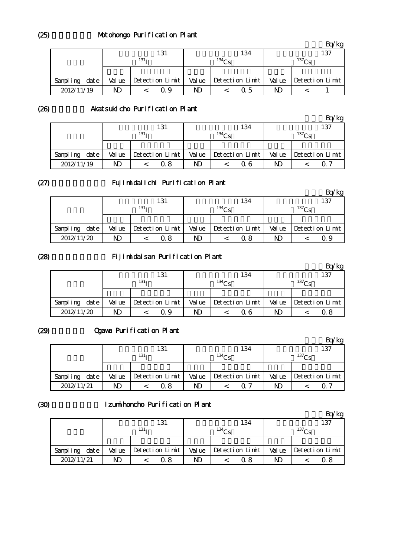# Motohongo Purification Plant

|               |        |                  |        |                   |                   | kg              |  |
|---------------|--------|------------------|--------|-------------------|-------------------|-----------------|--|
|               |        | 131              |        | 134               | 137               |                 |  |
|               |        | 131 <sub>T</sub> |        | 134C <sub>c</sub> | 137C <sub>c</sub> |                 |  |
|               |        |                  |        |                   |                   |                 |  |
| Sampling date | Val ue | Detection Limit  | Val ue | Detection Limit   | Val ue            | Detection Limit |  |
| 2012/11/19    | ND     | Q 9              | ND     | Q 5               | ND                |                 |  |

(26)

# Akatsukicho Purification Plant

|                  |        | 131              |        | 134               | 137         |                 |  |
|------------------|--------|------------------|--------|-------------------|-------------|-----------------|--|
|                  |        | 131 <sub>T</sub> |        | 134C <sub>c</sub> | $^{137}$ Cs |                 |  |
|                  |        |                  |        |                   |             |                 |  |
| date<br>Sampling | Val ue | Detection Limit  | Val ue | Detection Limit   | Val ue      | Detection Limit |  |
| 2012/11/19       | ND     | 0 8              | ND     | 0 6               | ND          |                 |  |

(27)

# Fujimidaiichi Purification Plant

|               |                  |  |                 |             |  |                 |                   |  | kg              |
|---------------|------------------|--|-----------------|-------------|--|-----------------|-------------------|--|-----------------|
|               |                  |  | 131             |             |  | 134             | 137               |  |                 |
|               | 131 <sub>T</sub> |  |                 | $134\Omega$ |  |                 | 137C <sub>S</sub> |  |                 |
|               |                  |  |                 |             |  |                 |                   |  |                 |
| Sampling date | Val ue           |  | Detection Limit | Val ue      |  | Detection Limit | Val ue            |  | Detection Limit |
| 2012/11/20    | ND               |  | Q 8             | ND          |  | 0 8             | ND                |  | 09              |

#### (28)

# Fijimidaisan Purification Plant

|               |        |                  |                 |    |                   |                       |        |                   | 'kg             |  |
|---------------|--------|------------------|-----------------|----|-------------------|-----------------------|--------|-------------------|-----------------|--|
|               | 131    |                  |                 |    |                   | 134                   | 137    |                   |                 |  |
|               |        | 131 <sub>T</sub> |                 |    | 134C <sub>c</sub> |                       |        | 137C <sub>c</sub> |                 |  |
|               |        |                  |                 |    |                   |                       |        |                   |                 |  |
| Sampling date | Val ue |                  | Detection Limit |    |                   | Value Detection Limit | Val ue |                   | Detection Limit |  |
| 2012/11/20    |        |                  | 19              | ND |                   | 0 6                   | ND     |                   | Ω8              |  |

#### (29)

# Ogawa Purification Plant

| -                |        |                  |        |                 |       | Bq/kg             |
|------------------|--------|------------------|--------|-----------------|-------|-------------------|
|                  |        | 131              |        | 134             |       | 137               |
|                  |        | 131 <sub>T</sub> |        | $^{134}$ Cs     |       | 137C <sub>c</sub> |
|                  |        |                  |        |                 |       |                   |
| date<br>Sampling | Val ue | Detection Limit  | Val ue | Detection Limit | Value | Detection Limit   |
| 2012/11/21       | ND     | 0 8              | ND     | ი 7             | ND    |                   |

# (30)

#### Izumihoncho Purification Plant

|                  |        |                  |       |                   |        | kg                |
|------------------|--------|------------------|-------|-------------------|--------|-------------------|
|                  |        | 131              |       | 134               |        | 137               |
|                  |        | 131 <sub>T</sub> |       | 134C <sub>c</sub> |        | 137C <sub>c</sub> |
|                  |        |                  |       |                   |        |                   |
| Sampling<br>date | Val ue | Detection Limit  | Value | Detection Limit   | Val ue | Detection Limit   |
| 2012/11/21       |        | 0 8              | ND    | ი  გ              | ND     | 0.8               |

(25)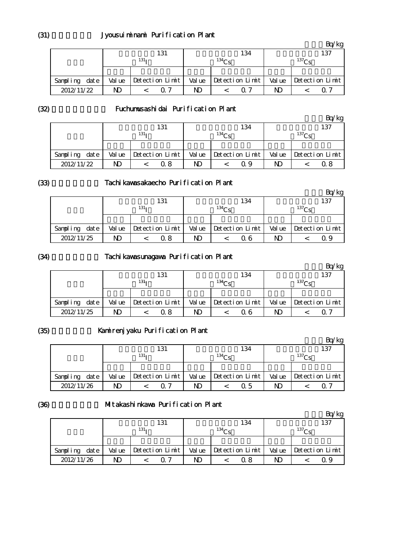# Jyousuiminami Purification Plant

|               |        |                  |        |                   |        | /kg               |
|---------------|--------|------------------|--------|-------------------|--------|-------------------|
|               |        | 131              |        | 134               |        | 137               |
|               |        | 131 <sub>T</sub> |        | 134C <sub>c</sub> |        | 137C <sub>c</sub> |
|               |        |                  |        |                   |        |                   |
| Sampling date | Val ue | Detection Limit  | Val ue | Detection Limit   | Val ue | Detection Limit   |
| 2012/11/22    | ND     | 07               | ND     | 07                | ND     | 0. Z              |

(32)

# Fuchumusashidai Purification Plant

|                   |        |                  |        |                   |        | Bq/kg           |
|-------------------|--------|------------------|--------|-------------------|--------|-----------------|
|                   |        | 131              |        | 134               |        | 137             |
|                   |        | 131 <sub>T</sub> |        | 134C <sub>g</sub> |        | $^{137}Cs$      |
|                   |        |                  |        |                   |        |                 |
| dat e<br>Sampling | Val ue | Detection Limit  | Val ue | Detection Limit   | Val ue | Detection Limit |
| 2012/11/22        | ND     | Q 8              | ND     | Q 9               | ND     |                 |

(33)

#### Tachi kawasakaecho Purification Plant

|                  |        | 131              |        | 134               |        | 137               |
|------------------|--------|------------------|--------|-------------------|--------|-------------------|
|                  |        | 131 <sub>T</sub> |        | 134C <sub>c</sub> |        | 137C <sub>c</sub> |
|                  |        |                  |        |                   |        |                   |
| Sampling<br>date | Val ue | Detection Limit  | Val ue | Detection Limit   | Val ue | Detection Limit   |
| 2012/11/25       | ND     | Q 8              | ND     | 0 6               | ND     | 09                |

#### (34)

#### Tachikawasunagawa Purification Plant

|               |        |                  |                 |        |             |                 |       |                   | 'kg             |
|---------------|--------|------------------|-----------------|--------|-------------|-----------------|-------|-------------------|-----------------|
|               |        |                  | 131             |        |             | 134             |       |                   | 137             |
|               |        | 131 <sub>T</sub> |                 |        | $134\Omega$ |                 |       | 137C <sub>c</sub> |                 |
|               |        |                  |                 |        |             |                 |       |                   |                 |
| Sampling date | Val ue |                  | Detection Limit | Val ue |             | Detection Limit | Value |                   | Detection Limit |
| 2012/11/25    | ND     |                  | 0. 8            | ND     |             | 0 6             | ND    |                   | ( ) ·           |

#### (35)

# Kamirenjyaku Purification Plant

|                  | . .    |                      |        |                   |        | /kg               |
|------------------|--------|----------------------|--------|-------------------|--------|-------------------|
|                  |        | 131                  |        | 134               |        | 137               |
|                  |        | 131 <sub>T</sub>     |        | 134C <sub>c</sub> |        | 137C <sub>c</sub> |
|                  |        |                      |        |                   |        |                   |
| date<br>Sampling | Val ue | $Detecti$ on $Limit$ | Val ue | Detection Limit   | Val ue | Detection Limit   |
| 2012/11/26       | ND     | ∩ 7                  | ND     | Q 5               | ND     | ი 7               |

(36)

#### Mitakashinkawa Purification Plant

|                  |        |                  |        |                   |        | kg                |
|------------------|--------|------------------|--------|-------------------|--------|-------------------|
|                  |        | 131              |        | 134               |        | 137               |
|                  |        | 131 <sub>T</sub> |        | 134C <sub>c</sub> |        | 137C <sub>c</sub> |
|                  |        |                  |        |                   |        |                   |
| date<br>Sampling | Val ue | Detection Limit  | Val ue | Detection Limit   | Val ue | Detection Limit   |
| 2012/11/26       | ND     |                  | ND     | 0 8               | ND     | Ω9                |

(31)